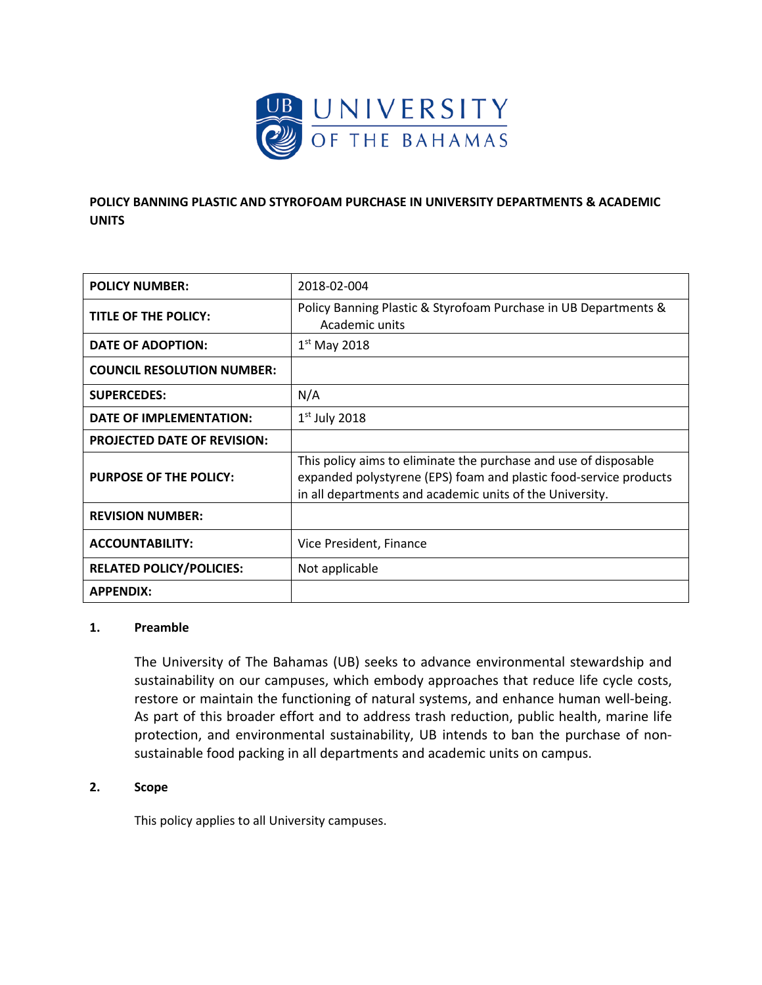

# **POLICY BANNING PLASTIC AND STYROFOAM PURCHASE IN UNIVERSITY DEPARTMENTS & ACADEMIC UNITS**

| <b>POLICY NUMBER:</b>              | 2018-02-004                                                                                                                                                                                       |
|------------------------------------|---------------------------------------------------------------------------------------------------------------------------------------------------------------------------------------------------|
| TITLE OF THE POLICY:               | Policy Banning Plastic & Styrofoam Purchase in UB Departments &<br>Academic units                                                                                                                 |
| DATE OF ADOPTION:                  | $1st$ May 2018                                                                                                                                                                                    |
| <b>COUNCIL RESOLUTION NUMBER:</b>  |                                                                                                                                                                                                   |
| <b>SUPERCEDES:</b>                 | N/A                                                                                                                                                                                               |
| DATE OF IMPLEMENTATION:            | $1st$ July 2018                                                                                                                                                                                   |
| <b>PROJECTED DATE OF REVISION:</b> |                                                                                                                                                                                                   |
| <b>PURPOSE OF THE POLICY:</b>      | This policy aims to eliminate the purchase and use of disposable<br>expanded polystyrene (EPS) foam and plastic food-service products<br>in all departments and academic units of the University. |
| <b>REVISION NUMBER:</b>            |                                                                                                                                                                                                   |
| <b>ACCOUNTABILITY:</b>             | Vice President, Finance                                                                                                                                                                           |
| <b>RELATED POLICY/POLICIES:</b>    | Not applicable                                                                                                                                                                                    |
| <b>APPENDIX:</b>                   |                                                                                                                                                                                                   |

### **1. Preamble**

The University of The Bahamas (UB) seeks to advance environmental stewardship and sustainability on our campuses, which embody approaches that reduce life cycle costs, restore or maintain the functioning of natural systems, and enhance human well-being. As part of this broader effort and to address trash reduction, public health, marine life protection, and environmental sustainability, UB intends to ban the purchase of nonsustainable food packing in all departments and academic units on campus.

## **2. Scope**

This policy applies to all University campuses.